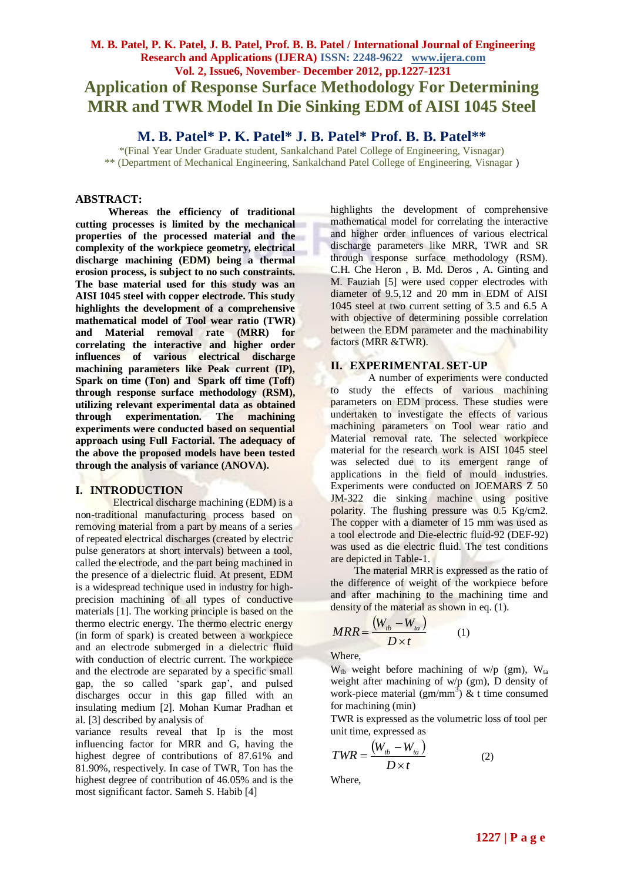# **M. B. Patel, P. K. Patel, J. B. Patel, Prof. B. B. Patel / International Journal of Engineering Research and Applications (IJERA) ISSN: 2248-9622 www.ijera.com Vol. 2, Issue6, November- December 2012, pp.1227-1231 Application of Response Surface Methodology For Determining MRR and TWR Model In Die Sinking EDM of AISI 1045 Steel**

**M. B. Patel\* P. K. Patel\* J. B. Patel\* Prof. B. B. Patel\*\***

\*(Final Year Under Graduate student, Sankalchand Patel College of Engineering, Visnagar) \*\* (Department of Mechanical Engineering, Sankalchand Patel College of Engineering, Visnagar )

#### **ABSTRACT:**

**Whereas the efficiency of traditional cutting processes is limited by the mechanical properties of the processed material and the complexity of the workpiece geometry, electrical discharge machining (EDM) being a thermal erosion process, is subject to no such constraints. The base material used for this study was an AISI 1045 steel with copper electrode. This study highlights the development of a comprehensive mathematical model of Tool wear ratio (TWR) and Material removal rate (MRR) for correlating the interactive and higher order influences of various electrical discharge machining parameters like Peak current (IP), Spark on time (Ton) and Spark off time (Toff) through response surface methodology (RSM), utilizing relevant experimental data as obtained through experimentation. The machining experiments were conducted based on sequential approach using Full Factorial. The adequacy of the above the proposed models have been tested through the analysis of variance (ANOVA).**

#### **I. INTRODUCTION**

Electrical discharge machining (EDM) is a non-traditional manufacturing process based on removing material from a part by means of a series of repeated electrical discharges (created by electric pulse generators at short intervals) between a tool, called the electrode, and the part being machined in the presence of a dielectric fluid. At present, EDM is a widespread technique used in industry for highprecision machining of all types of conductive materials [1]. The working principle is based on the thermo electric energy. The thermo electric energy (in form of spark) is created between a workpiece and an electrode submerged in a dielectric fluid with conduction of electric current. The workpiece and the electrode are separated by a specific small gap, the so called 'spark gap', and pulsed discharges occur in this gap filled with an insulating medium [2]. Mohan Kumar Pradhan et al. [3] described by analysis of

variance results reveal that Ip is the most influencing factor for MRR and G, having the highest degree of contributions of 87.61% and 81.90%, respectively. In case of TWR, Ton has the highest degree of contribution of 46.05% and is the most significant factor. Sameh S. Habib [4]

highlights the development of comprehensive mathematical model for correlating the interactive and higher order influences of various electrical discharge parameters like MRR, TWR and SR through response surface methodology (RSM). C.H. Che Heron , B. Md. Deros , A. Ginting and M. Fauziah [5] were used copper electrodes with diameter of 9.5,12 and 20 mm in EDM of AISI 1045 steel at two current setting of 3.5 and 6.5 A with objective of determining possible correlation between the EDM parameter and the machinability factors (MRR &TWR).

# **II. EXPERIMENTAL SET-UP**

A number of experiments were conducted to study the effects of various machining parameters on EDM process. These studies were undertaken to investigate the effects of various machining parameters on Tool wear ratio and Material removal rate. The selected workpiece material for the research work is AISI 1045 steel was selected due to its emergent range of applications in the field of mould industries. Experiments were conducted on JOEMARS Z 50 JM-322 die sinking machine using positive polarity. The flushing pressure was  $0.5 \text{ Kg/cm2.}$ The copper with a diameter of 15 mm was used as a tool electrode and Die-electric fluid-92 (DEF-92) was used as die electric fluid. The test conditions are depicted in Table-1.

The material MRR is expressed as the ratio of the difference of weight of the workpiece before and after machining to the machining time and density of the material as shown in eq. (1).

$$
MRR = \frac{(W_{tb} - W_{ta})}{D \times t}
$$
 (1)

Where,

 $W_{tb}$  weight before machining of w/p (gm),  $W_{ta}$ weight after machining of w/p (gm), D density of work-piece material  $(gm/mm^3)$  & t time consumed for machining (min)

TWR is expressed as the volumetric loss of tool per unit time, expressed as

$$
TWR = \frac{(W_{tb} - W_{ta})}{D \times t}
$$
 (2)

Where,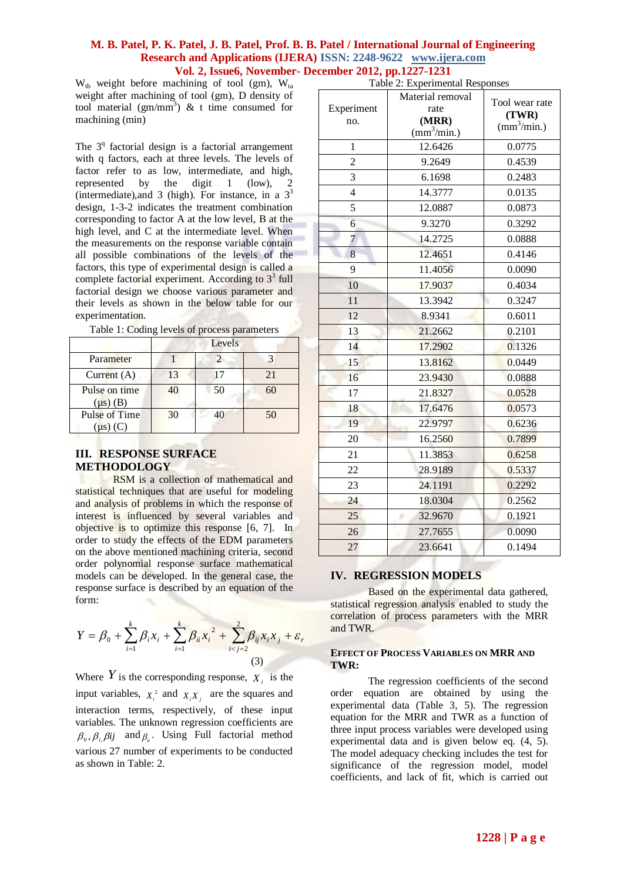#### **M. B. Patel, P. K. Patel, J. B. Patel, Prof. B. B. Patel / International Journal of Engineering Research and Applications (IJERA) ISSN: 2248-9622 www.ijera.com Vol. 2, Issue6, November- December 2012, pp.1227-1231**

 $W_{tb}$  weight before machining of tool (gm),  $W_{ta}$ weight after machining of tool (gm), D density of tool material  $(gm/mm^3)$  & t time consumed for machining (min)

The  $3<sup>q</sup>$  factorial design is a factorial arrangement with q factors, each at three levels. The levels of factor refer to as low, intermediate, and high, represented by the digit 1 (low), 2 (intermediate),and 3 (high). For instance, in a  $3<sup>3</sup>$ design, 1-3-2 indicates the treatment combination corresponding to factor A at the low level, B at the high level, and C at the intermediate level. When the measurements on the response variable contain all possible combinations of the levels of the factors, this type of experimental design is called a complete factorial experiment. According to  $3<sup>3</sup>$  full factorial design we choose various parameter and their levels as shown in the below table for our experimentation.

|                                | Levels |     |     |  |
|--------------------------------|--------|-----|-----|--|
| Parameter                      |        |     |     |  |
| Current $(A)$                  | 13     | l 7 | 2.1 |  |
| Pulse on time<br>$(\mu s)$ (B) | 40     | 50  | 60  |  |
| Pulse of Time<br>$(\mu s)$ (C) | 30     | 40  | 50  |  |

|  | Table 1: Coding levels of process parameters |  |
|--|----------------------------------------------|--|
|--|----------------------------------------------|--|

# **III. RESPONSE SURFACE METHODOLOGY**

RSM is a collection of mathematical and statistical techniques that are useful for modeling and analysis of problems in which the response of interest is influenced by several variables and objective is to optimize this response [6, 7]. In order to study the effects of the EDM parameters on the above mentioned machining criteria, second order polynomial response surface mathematical models can be developed. In the general case, the response surface is described by an equation of the form:

$$
Y = \beta_0 + \sum_{i=1}^{k} \beta_i x_i + \sum_{i=1}^{k} \beta_{ii} x_i^2 + \sum_{i < j=2}^{2} \beta_{ij} x_i x_j + \varepsilon_r
$$
\n(3)

Where  $Y$  is the corresponding response,  $X_i$  is the input variables,  $X_i^2$  and  $X_i X_j$  are the squares and interaction terms, respectively, of these input variables. The unknown regression coefficients are  $\beta_0$ ,  $\beta_i$ ,  $\beta_{ij}$  and  $\beta_i$ . Using Full factorial method various 27 number of experiments to be conducted as shown in Table: 2.

| Table 2: Experimental Responses |                                                                         |                                                        |  |  |  |
|---------------------------------|-------------------------------------------------------------------------|--------------------------------------------------------|--|--|--|
| Experiment<br>no.               | Material removal<br>rate<br>(MRR)<br>$\frac{\text{m}^3}{\text{min}}$ .) | Tool wear rate<br>(TWR)<br>$\text{(mm}^3/\text{min.})$ |  |  |  |
| 1                               | 12.6426                                                                 | 0.0775                                                 |  |  |  |
| $\overline{c}$                  | 9.2649                                                                  | 0.4539                                                 |  |  |  |
| $\overline{3}$                  | 6.1698                                                                  | 0.2483                                                 |  |  |  |
| $\overline{4}$                  | 14.3777                                                                 | 0.0135                                                 |  |  |  |
| 5                               | 12.0887                                                                 | 0.0873                                                 |  |  |  |
| $\overline{6}$                  | 9.3270                                                                  | 0.3292                                                 |  |  |  |
| 7                               | 14.2725                                                                 | 0.0888                                                 |  |  |  |
| 8                               | 12.4651                                                                 | 0.4146                                                 |  |  |  |
| 9                               | 11.4056                                                                 | 0.0090                                                 |  |  |  |
| 10                              | 17.9037                                                                 | 0.4034                                                 |  |  |  |
| 11                              | 13.3942                                                                 | 0.3247                                                 |  |  |  |
| 12                              | 8.9341                                                                  | 0.6011                                                 |  |  |  |
| 13                              | 21.2662                                                                 | 0.2101                                                 |  |  |  |
| 14                              | 17.2902                                                                 | 0.1326                                                 |  |  |  |
| 15                              | 13.8162                                                                 | 0.0449                                                 |  |  |  |
| 16                              | 23.9430                                                                 | 0.0888                                                 |  |  |  |
| 17                              | 21.8327                                                                 | 0.0528                                                 |  |  |  |
| 18                              | 17.6476                                                                 | 0.0573                                                 |  |  |  |
| 19                              | 22.9797                                                                 | 0.6236                                                 |  |  |  |
| 20                              | 16.2560                                                                 | 0.7899                                                 |  |  |  |
| 21                              | 11.3853                                                                 | 0.6258                                                 |  |  |  |
| 22                              | 28.9189                                                                 | 0.5337                                                 |  |  |  |
| 23                              | 24.1191                                                                 | 0.2292                                                 |  |  |  |
| 24                              | 18.0304                                                                 | 0.2562                                                 |  |  |  |
| 25                              | 32.9670                                                                 | 0.1921                                                 |  |  |  |
| 26                              | 27.7655                                                                 | 0.0090                                                 |  |  |  |
| 27                              | 23.6641                                                                 | 0.1494                                                 |  |  |  |

#### **IV. REGRESSION MODELS**

Based on the experimental data gathered, statistical regression analysis enabled to study the correlation of process parameters with the MRR and TWR.

#### **EFFECT OF PROCESS VARIABLES ON MRR AND TWR:**

The regression coefficients of the second order equation are obtained by using the experimental data (Table 3, 5). The regression equation for the MRR and TWR as a function of three input process variables were developed using experimental data and is given below eq. (4, 5). The model adequacy checking includes the test for significance of the regression model, model coefficients, and lack of fit, which is carried out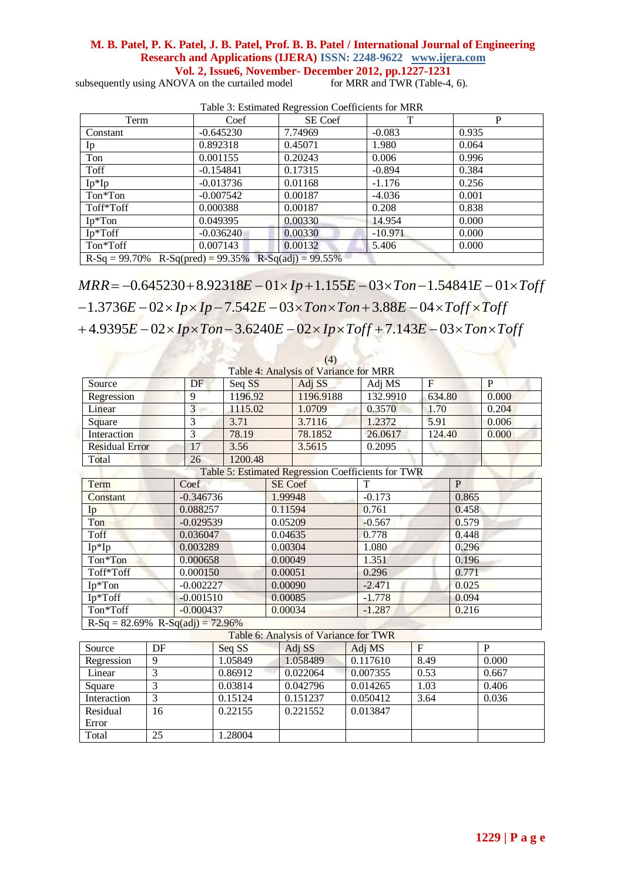# **M. B. Patel, P. K. Patel, J. B. Patel, Prof. B. B. Patel / International Journal of Engineering Research and Applications (IJERA) ISSN: 2248-9622 www.ijera.com Vol. 2, Issue6, November- December 2012, pp.1227-1231**

subsequently using ANOVA on the curtailed model

| Term                                                                                                                                              | Coef        | SE Coef | T         | P     |
|---------------------------------------------------------------------------------------------------------------------------------------------------|-------------|---------|-----------|-------|
| Constant                                                                                                                                          | $-0.645230$ | 7.74969 | $-0.083$  | 0.935 |
| Ip                                                                                                                                                | 0.892318    | 0.45071 | 1.980     | 0.064 |
| Ton                                                                                                                                               | 0.001155    | 0.20243 | 0.006     | 0.996 |
| Toff                                                                                                                                              | $-0.154841$ | 0.17315 | $-0.894$  | 0.384 |
| $Ip*Ip$                                                                                                                                           | $-0.013736$ | 0.01168 | $-1.176$  | 0.256 |
| Ton*Ton                                                                                                                                           | $-0.007542$ | 0.00187 | $-4.036$  | 0.001 |
| Toff*Toff                                                                                                                                         | 0.000388    | 0.00187 | 0.208     | 0.838 |
| $Ip*Ton$                                                                                                                                          | 0.049395    | 0.00330 | 14.954    | 0.000 |
| $Ip*Toff$                                                                                                                                         | $-0.036240$ | 0.00330 | $-10.971$ | 0.000 |
| Ton*Toff                                                                                                                                          | 0.007143    | 0.00132 | 5.406     | 0.000 |
| $R-Sq = 99.70\%$ $R-Sq(pred) = 99.35\%$ $R-Sq(adj) = 99.55\%$                                                                                     |             |         |           |       |
|                                                                                                                                                   |             |         |           |       |
| $MRR = -0.645230 + 8.92318E - 01 \times Ip + 1.155E - 03 \times Ton - 1.54841E - 01 \times Toff$                                                  |             |         |           |       |
| $1.272\epsilon E$ $0.01\epsilon E$ $I_{\rm{m}}$ $I_{\rm{m}}$ $7.542E$ $0.01\epsilon T$ $0.01\epsilon T$ $0.00E$ $0.01\epsilon T$ $0.01\epsilon T$ |             |         |           |       |

Table 3: Estimated Regression Coefficients for MRR

 $-0.645230 + 8.92318E - 01 \times Ip + 1.155E - 03 \times Ton - 1.54841E - 01 \times 1$ <br>  $E - 02 \times Ip \times Ip - 7.542E - 03 \times Ton \times Ton + 3.88E - 04 \times Toff \times Toff$ <br>  $E - 02 \times Ip \times Ton - 3.6240E - 02 \times Ip \times Toff + 7.143E - 03 \times Ton \times Toff$  $\frac{6.667145}{2}$   $\frac{1}{2}$   $\frac{6.66722}{2}$   $\frac{1}{2}$   $\frac{5.466}{2}$   $\frac{1}{2}$   $\frac{6.6667145}{2}$   $\frac{1}{2}$   $\frac{6.667122}{2}$   $\frac{1}{2}$   $\frac{1}{2}$   $\frac{1}{2}$   $\frac{1}{2}$   $\frac{1}{2}$   $\frac{1}{2}$   $\frac{1}{2}$   $\frac{1}{2}$   $\frac{1}{2}$   $\frac{1}{2}$  $+4.9395E - 02 \times Ip \times Ton - 3.6240E - 02 \times Ip \times Toff + 7.143E - 03 \times Ton \times$  $-1.3736E - 02 \times Ip \times Ip - 7.542E - 03 \times Ton \times Ton + 3.88E - 04 \times Toff \times$  $= -0.645230 + 8.92318E - 01 \times Ip + 1.155E - 03 \times Ton - 1.54841E - 01 \times$ 

|                                        |                 |                |         |          | (4)                                   |                                                    |                |              |                |  |
|----------------------------------------|-----------------|----------------|---------|----------|---------------------------------------|----------------------------------------------------|----------------|--------------|----------------|--|
|                                        |                 |                |         |          | Table 4: Analysis of Variance for MRR |                                                    |                |              |                |  |
| Source                                 |                 | DF<br>Seq SS   |         |          | Adj SS                                | Adj MS                                             | $\overline{F}$ |              | $\mathbf P$    |  |
| Regression                             |                 | 1196.92<br>9   |         |          | 1196.9188                             | 132.9910                                           | 634.80         |              | 0.000          |  |
| Linear                                 |                 | $\overline{3}$ | 1115.02 |          | 1.0709                                | 0.3570                                             | 1.70           |              | 0.204          |  |
| Square                                 |                 | $\overline{3}$ | 3.71    |          | 3.7116                                | 1.2372                                             | 5.91           |              | 0.006          |  |
| Interaction                            |                 | $\overline{3}$ | 78.19   |          | 78.1852                               | 26.0617                                            | 124.40         |              | 0.000          |  |
| <b>Residual Error</b>                  |                 | 17             | 3.56    |          | 3.5615                                | 0.2095                                             |                |              |                |  |
| Total                                  |                 | 26             | 1200.48 |          |                                       |                                                    |                |              |                |  |
|                                        |                 |                |         |          |                                       | Table 5: Estimated Regression Coefficients for TWR |                |              |                |  |
| Term                                   |                 | Coef           |         | SE Coef  |                                       | T                                                  |                | $\mathbf{P}$ |                |  |
| Constant                               |                 | $-0.346736$    |         | 1.99948  |                                       |                                                    | $-0.173$       |              | 0.865          |  |
| Ip                                     |                 | 0.088257       |         |          | 0.11594                               | 0.761                                              |                |              | 0.458          |  |
| Ton                                    | $-0.029539$     |                |         | 0.05209  |                                       | $-0.567$                                           |                |              | 0.579          |  |
| Toff                                   | 0.036047        |                |         | 0.04635  |                                       | 0.778                                              |                |              | 0.448          |  |
| Ip*Ip                                  | 0.003289        |                |         | 0.00304  |                                       | 1.080                                              |                |              | 0.296          |  |
| Ton*Ton                                | 0.000658        |                |         | 0.00049  |                                       | 1.351                                              |                |              | 0.196          |  |
| Toff*Toff                              | 0.000150        |                |         | 0.00051  |                                       | 0.296                                              |                |              | 0.771          |  |
| Ip*Ton                                 | $-0.002227$     |                |         | 0.00090  |                                       | $-2.471$                                           |                |              | 0.025          |  |
| Ip*Toff                                | $-0.001510$     |                |         | 0.00085  |                                       | $-1.778$                                           |                | 0.094        |                |  |
| Ton*Toff                               | $-0.000437$     |                |         | 0.00034  |                                       | $-1.287$                                           |                | 0.216        |                |  |
| $R-Sq = 82.69\%$ $R-Sq(adj) = 72.96\%$ |                 |                |         |          |                                       |                                                    |                |              |                |  |
|                                        |                 |                |         |          | Table 6: Analysis of Variance for TWR |                                                    |                |              |                |  |
| Source                                 | DF              |                | Seq SS  | Adj SS   |                                       | Adj MS                                             | $\overline{F}$ |              | $\overline{P}$ |  |
| Regression                             | 9               |                | 1.05849 | 1.058489 |                                       | 0.117610                                           | 8.49           |              | 0.000          |  |
| Linear                                 | $\overline{3}$  |                | 0.86912 |          | 0.022064                              | 0.007355                                           | 0.53           |              | 0.667          |  |
| Square                                 | $\overline{3}$  |                | 0.03814 |          | 0.042796                              | 0.014265                                           | 1.03           | 0.406        |                |  |
| Interaction                            | $\overline{3}$  |                | 0.15124 |          | 0.151237                              | 0.050412                                           | 3.64           |              | 0.036          |  |
| Residual<br>Error                      | 16              |                | 0.22155 |          | 0.221552                              | 0.013847                                           |                |              |                |  |
| Total                                  | $\overline{25}$ |                | 1.28004 |          |                                       |                                                    |                |              |                |  |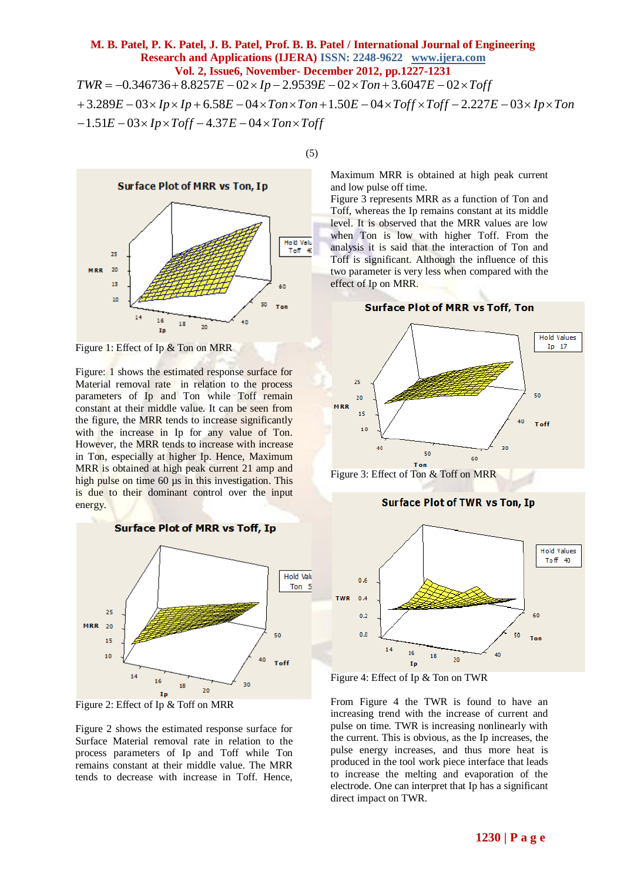# **M. B. Patel, P. K. Patel, J. B. Patel, Prof. B. B. Patel / International Journal of Engineering Research and Applications (IJERA) ISSN: 2248-9622 www.ijera.com Vol. 2, Issue6, November- December 2012, pp.1227-1231 IVE** *I***,** *E.* **Patel, P. K. Patel, J. B. Patel, Prof. B. B. Patel / International Journal of Eng<br>
<b>Research and Applications (IJERA)** ISSN: 2248-9622 www.ijera.com<br> **Vol. 2, Issue6, November- December 2012, pp.1227-1231**<br>

(5)

**Figure 1.2, Issue6, November-Dec**<br>
Fol. 2, Issue6, November-Dec<br>  $= -0.346736 + 8.8257E - 02 \times Ip - 2.9539E$ <br>  $= -0.346736 + 8.8257E - 02 \times Ip - 2.9539E$ <br>  $= -0.3 \times Ip \times Ip + 6.58E - 04 \times Ton \times Ton$ <br>  $= -0.3 \times Ip \times Toff - 4.37E - 04 \times Ton \times Toff$ **Example 1 Pp. K. Patel, J. B. Patel, Prof. B. B. Patel / International Journal of Engineering<br>
Research and Applications (IJERA) ISSN: 2248-9622 www.ijera.com<br>
Vol. 2, Issue6, November- December 2012, pp.1227-1231<br> -0.3**  $-1.51E-03\times Ip\times Toff-4.37E-04\times Ton\times$  $+3.289E-03\times Ip\times Ip+6.58E-04\times Ton\times Ton+1.50E-04\times Toff\times Toff-2.227E-03\times Ip\times$  $= -0.346736 + 8.8257E - 02 \times Ip - 2.9539E - 02 \times Ton + 3.6047E - 02 \times$ 



Figure 1: Effect of Ip & Ton on MRR

Figure: 1 shows the estimated response surface for Material removal rate in relation to the process parameters of Ip and Ton while Toff remain constant at their middle value. It can be seen from the figure, the MRR tends to increase significantly with the increase in Ip for any value of Ton. However, the MRR tends to increase with increase in Ton, especially at higher Ip. Hence, Maximum MRR is obtained at high peak current 21 amp and high pulse on time 60  $\mu$ s in this investigation. This is due to their dominant control over the input energy.



Figure 2: Effect of Ip & Toff on MRR

Figure 2 shows the estimated response surface for Surface Material removal rate in relation to the process parameters of Ip and Toff while Ton remains constant at their middle value. The MRR tends to decrease with increase in Toff. Hence,

Maximum MRR is obtained at high peak current and low pulse off time.

Figure 3 represents MRR as a function of Ton and Toff, whereas the Ip remains constant at its middle level. It is observed that the MRR values are low when Ton is low with higher Toff. From the analysis it is said that the interaction of Ton and Toff is significant. Although the influence of this two parameter is very less when compared with the effect of Ip on MRR.





Figure 3: Effect of Ton & Toff on MRR

## Surface Plot of TWR vs Ton, Ip





From Figure 4 the TWR is found to have an increasing trend with the increase of current and pulse on time. TWR is increasing nonlinearly with the current. This is obvious, as the Ip increases, the pulse energy increases, and thus more heat is produced in the tool work piece interface that leads to increase the melting and evaporation of the electrode. One can interpret that Ip has a significant direct impact on TWR.